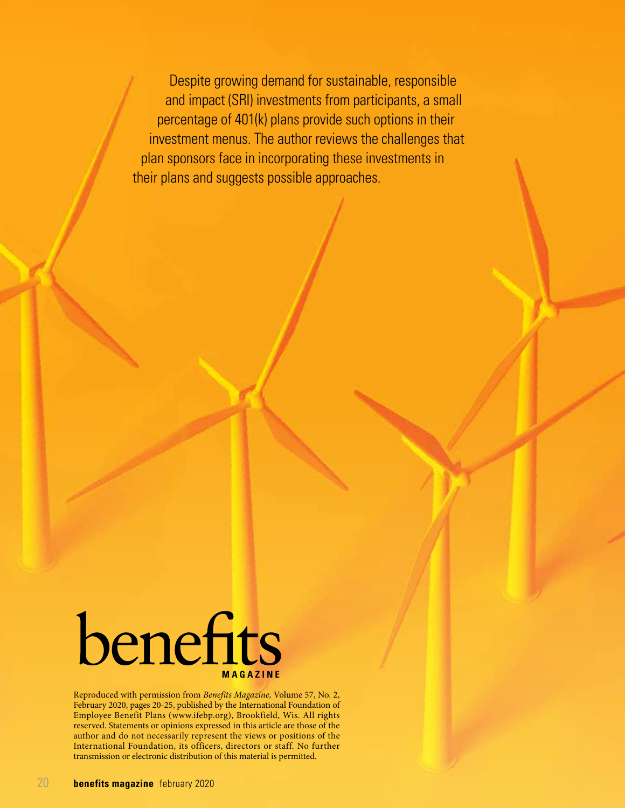Despite growing demand for sustainable, responsible and impact (SRI) investments from participants, a small percentage of 401(k) plans provide such options in their investment menus. The author reviews the challenges that plan sponsors face in incorporating these investments in their plans and suggests possible approaches.



Reproduced with permission from *Benefits Magazine,* Volume 57, No. 2, February 2020, pages 20-25, published by the International Foundation of Employee Benefit Plans (www.ifebp.org), Brookfield, Wis. All rights reserved. Statements or opinions expressed in this article are those of the author and do not necessarily represent the views or positions of the International Foundation, its officers, directors or staff. No further transmission or electronic distribution of this material is permitted.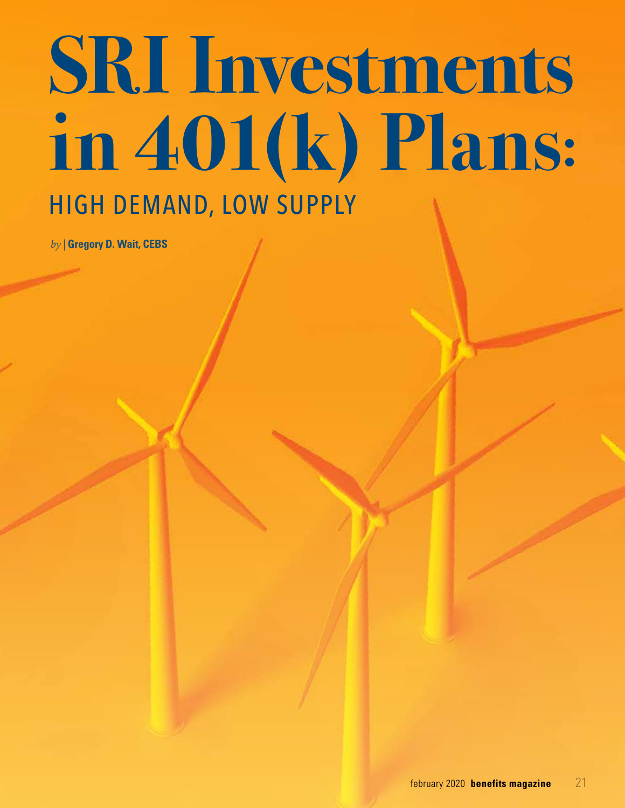# **SRI** Investments **in 401(k) Plans:** HIGH DEMAND, LOW SUPPLY

*by |* **Gregory D. Wait, CEBS**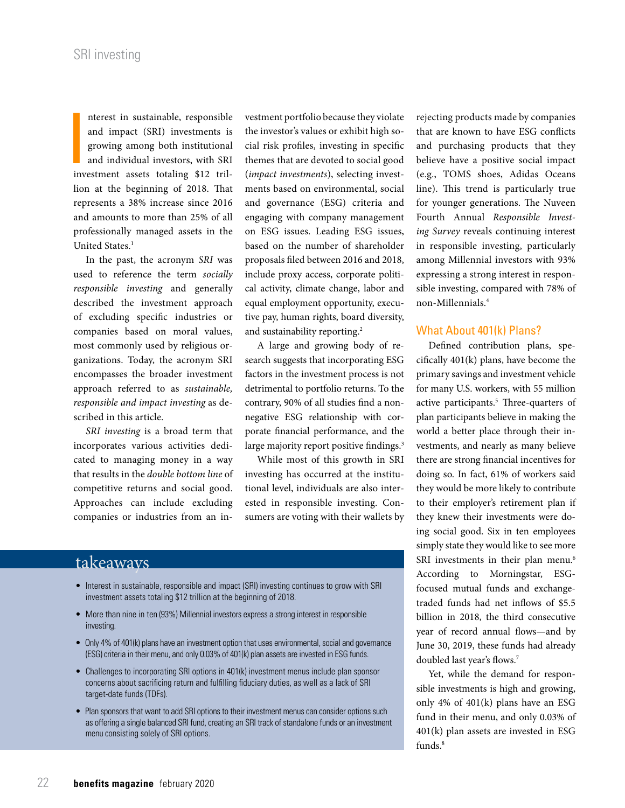**I**<br>
<br> **I**<br> **I**<br> **I** nterest in sustainable, responsible and impact (SRI) investments is growing among both institutional and individual investors, with SRI investment assets totaling \$12 trillion at the beginning of 2018. That represents a 38% increase since 2016 and amounts to more than 25% of all professionally managed assets in the United States.<sup>1</sup>

In the past, the acronym *SRI* was used to reference the term *socially responsible investing* and generally described the investment approach of excluding specific industries or companies based on moral values, most commonly used by religious organizations. Today, the acronym SRI encompasses the broader investment approach referred to as *sustainable, responsible and impact investing* as described in this article.

*SRI investing* is a broad term that incorporates various activities dedicated to managing money in a way that results in the *double bottom line* of competitive returns and social good. Approaches can include excluding companies or industries from an investment portfolio because they violate the investor's values or exhibit high social risk profiles, investing in specific themes that are devoted to social good (*impact investments*), selecting investments based on environmental, social and governance (ESG) criteria and engaging with company management on ESG issues. Leading ESG issues, based on the number of shareholder proposals filed between 2016 and 2018, include proxy access, corporate political activity, climate change, labor and equal employment opportunity, executive pay, human rights, board diversity, and sustainability reporting.2

A large and growing body of research suggests that incorporating ESG factors in the investment process is not detrimental to portfolio returns. To the contrary, 90% of all studies find a nonnegative ESG relationship with corporate financial performance, and the large majority report positive findings.<sup>3</sup>

While most of this growth in SRI investing has occurred at the institutional level, individuals are also interested in responsible investing. Consumers are voting with their wallets by

# takeaways

- Interest in sustainable, responsible and impact (SRI) investing continues to grow with SRI investment assets totaling \$12 trillion at the beginning of 2018.
- More than nine in ten (93%) Millennial investors express a strong interest in responsible investing.
- Only 4% of 401(k) plans have an investment option that uses environmental, social and governance (ESG) criteria in their menu, and only 0.03% of 401(k) plan assets are invested in ESG funds.
- Challenges to incorporating SRI options in 401(k) investment menus include plan sponsor concerns about sacrificing return and fulfilling fiduciary duties, as well as a lack of SRI target-date funds (TDFs).
- Plan sponsors that want to add SRI options to their investment menus can consider options such as offering a single balanced SRI fund, creating an SRI track of standalone funds or an investment menu consisting solely of SRI options.

rejecting products made by companies that are known to have ESG conflicts and purchasing products that they believe have a positive social impact (e.g., TOMS shoes, Adidas Oceans line). This trend is particularly true for younger generations. The Nuveen Fourth Annual *Responsible Investing Survey* reveals continuing interest in responsible investing, particularly among Millennial investors with 93% expressing a strong interest in responsible investing, compared with 78% of non-Millennials.4

## What About 401(k) Plans?

Defined contribution plans, specifically 401(k) plans, have become the primary savings and investment vehicle for many U.S. workers, with 55 million active participants.<sup>5</sup> Three-quarters of plan participants believe in making the world a better place through their investments, and nearly as many believe there are strong financial incentives for doing so. In fact, 61% of workers said they would be more likely to contribute to their employer's retirement plan if they knew their investments were doing social good. Six in ten employees simply state they would like to see more SRI investments in their plan menu.<sup>6</sup> According to Morningstar, ESGfocused mutual funds and exchangetraded funds had net inflows of \$5.5 billion in 2018, the third consecutive year of record annual flows—and by June 30, 2019, these funds had already doubled last year's flows.7

Yet, while the demand for responsible investments is high and growing, only 4% of 401(k) plans have an ESG fund in their menu, and only 0.03% of 401(k) plan assets are invested in ESG funds.<sup>8</sup>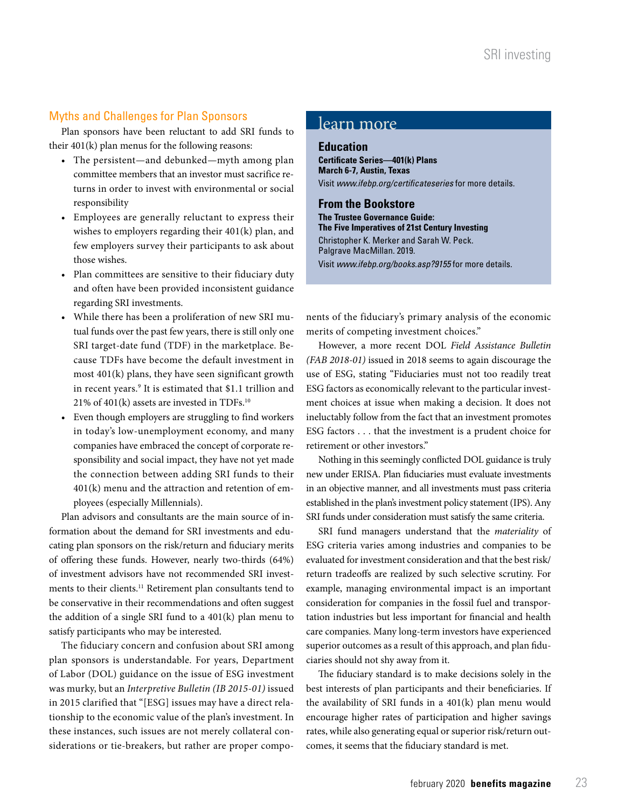# Myths and Challenges for Plan Sponsors

Plan sponsors have been reluctant to add SRI funds to their 401(k) plan menus for the following reasons:

- The persistent—and debunked—myth among plan committee members that an investor must sacrifice returns in order to invest with environmental or social responsibility
- Employees are generally reluctant to express their wishes to employers regarding their 401(k) plan, and few employers survey their participants to ask about those wishes.
- Plan committees are sensitive to their fiduciary duty and often have been provided inconsistent guidance regarding SRI investments.
- While there has been a proliferation of new SRI mutual funds over the past few years, there is still only one SRI target-date fund (TDF) in the marketplace. Because TDFs have become the default investment in most 401(k) plans, they have seen significant growth in recent years.9 It is estimated that \$1.1 trillion and 21% of 401(k) assets are invested in TDFs.10
- Even though employers are struggling to find workers in today's low-unemployment economy, and many companies have embraced the concept of corporate responsibility and social impact, they have not yet made the connection between adding SRI funds to their 401(k) menu and the attraction and retention of employees (especially Millennials).

Plan advisors and consultants are the main source of information about the demand for SRI investments and educating plan sponsors on the risk/return and fiduciary merits of offering these funds. However, nearly two-thirds (64%) of investment advisors have not recommended SRI investments to their clients.11 Retirement plan consultants tend to be conservative in their recommendations and often suggest the addition of a single SRI fund to a 401(k) plan menu to satisfy participants who may be interested.

The fiduciary concern and confusion about SRI among plan sponsors is understandable. For years, Department of Labor (DOL) guidance on the issue of ESG investment was murky, but an *Interpretive Bulletin (IB 2015-01)* issued in 2015 clarified that "[ESG] issues may have a direct relationship to the economic value of the plan's investment. In these instances, such issues are not merely collateral considerations or tie-breakers, but rather are proper compo-

# learn more

**Education Certificate Series—401(k) Plans March 6-7, Austin, Texas** Visit *www.ifebp.org/certificateseries* for more details.

#### **From the Bookstore**

**The Trustee Governance Guide: The Five Imperatives of 21st Century Investing** Christopher K. Merker and Sarah W. Peck. Palgrave MacMillan. 2019. Visit *www.ifebp.org/books.asp?9155* for more details.

nents of the fiduciary's primary analysis of the economic merits of competing investment choices."

However, a more recent DOL *Field Assistance Bulletin (FAB 2018-01)* issued in 2018 seems to again discourage the use of ESG, stating "Fiduciaries must not too readily treat ESG factors as economically relevant to the particular investment choices at issue when making a decision. It does not ineluctably follow from the fact that an investment promotes ESG factors . . . that the investment is a prudent choice for retirement or other investors."

Nothing in this seemingly conflicted DOL guidance is truly new under ERISA. Plan fiduciaries must evaluate investments in an objective manner, and all investments must pass criteria established in the plan's investment policy statement (IPS). Any SRI funds under consideration must satisfy the same criteria.

SRI fund managers understand that the *materiality* of ESG criteria varies among industries and companies to be evaluated for investment consideration and that the best risk/ return tradeoffs are realized by such selective scrutiny. For example, managing environmental impact is an important consideration for companies in the fossil fuel and transportation industries but less important for financial and health care companies. Many long-term investors have experienced superior outcomes as a result of this approach, and plan fiduciaries should not shy away from it.

The fiduciary standard is to make decisions solely in the best interests of plan participants and their beneficiaries. If the availability of SRI funds in a 401(k) plan menu would encourage higher rates of participation and higher savings rates, while also generating equal or superior risk/return outcomes, it seems that the fiduciary standard is met.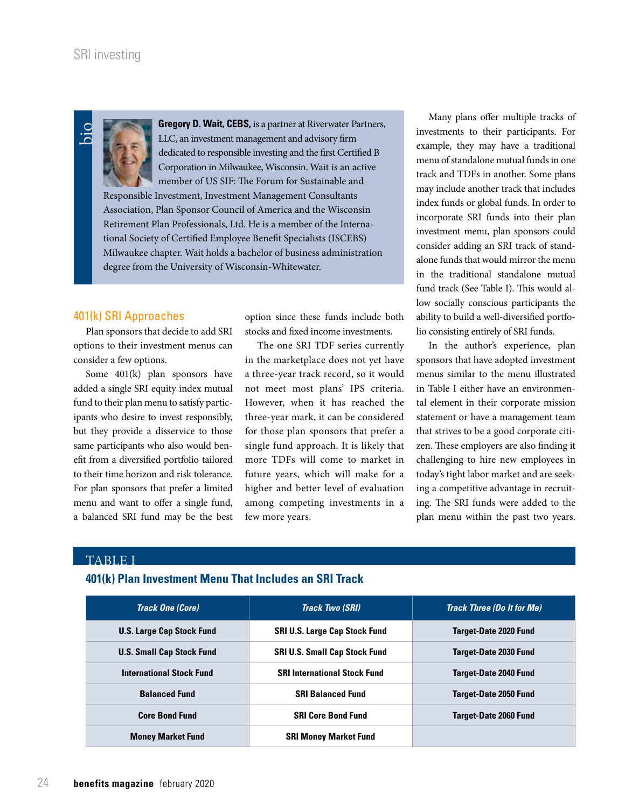

**Gregory D. Wait, CEBS,** is a partner at Riverwater Partners, LLC, an investment management and advisory firm dedicated to responsible investing and the first Certified B Corporation in Milwaukee, Wisconsin. Wait is an active member of US SIF: The Forum for Sustainable and

Responsible Investment, Investment Management Consultants Association, Plan Sponsor Council of America and the Wisconsin Retirement Plan Professionals, Ltd. He is a member of the International Society of Certified Employee Benefit Specialists (ISCEBS) Milwaukee chapter. Wait holds a bachelor of business administration degree from the University of Wisconsin-Whitewater.

## 401(k) SRI Approaches

Plan sponsors that decide to add SRI options to their investment menus can consider a few options.

Some 401(k) plan sponsors have added a single SRI equity index mutual fund to their plan menu to satisfy participants who desire to invest responsibly, but they provide a disservice to those same participants who also would benefit from a diversified portfolio tailored to their time horizon and risk tolerance. For plan sponsors that prefer a limited menu and want to offer a single fund, a balanced SRI fund may be the best option since these funds include both stocks and fixed income investments.

The one SRI TDF series currently in the marketplace does not yet have a three-year track record, so it would not meet most plans' IPS criteria. However, when it has reached the three-year mark, it can be considered for those plan sponsors that prefer a single fund approach. It is likely that more TDFs will come to market in future years, which will make for a higher and better level of evaluation among competing investments in a few more years.

Many plans offer multiple tracks of investments to their participants. For example, they may have a traditional menu of standalone mutual funds in one track and TDFs in another. Some plans may include another track that includes index funds or global funds. In order to incorporate SRI funds into their plan investment menu, plan sponsors could consider adding an SRI track of standalone funds that would mirror the menu in the traditional standalone mutual fund track (See Table I). This would allow socially conscious participants the ability to build a well-diversified portfolio consisting entirely of SRI funds.

In the author's experience, plan sponsors that have adopted investment menus similar to the menu illustrated in Table I either have an environmental element in their corporate mission statement or have a management team that strives to be a good corporate citizen. These employers are also finding it challenging to hire new employees in today's tight labor market and are seeking a competitive advantage in recruiting. The SRI funds were added to the plan menu within the past two years.

## TABLE I

### **401(k) Plan Investment Menu That Includes an SRI Track**

| <b>Track One (Core)</b>          | <b>Track Two (SRI)</b>               | <b>Track Three (Do It for Me)</b> |
|----------------------------------|--------------------------------------|-----------------------------------|
| <b>U.S. Large Cap Stock Fund</b> | <b>SRI U.S. Large Cap Stock Fund</b> | <b>Target-Date 2020 Fund</b>      |
| <b>U.S. Small Cap Stock Fund</b> | <b>SRI U.S. Small Cap Stock Fund</b> | <b>Target-Date 2030 Fund</b>      |
| <b>International Stock Fund</b>  | <b>SRI International Stock Fund</b>  | <b>Target-Date 2040 Fund</b>      |
| <b>Balanced Fund</b>             | <b>SRI Balanced Fund</b>             | <b>Target-Date 2050 Fund</b>      |
| <b>Core Bond Fund</b>            | <b>SRI Core Bond Fund</b>            | <b>Target-Date 2060 Fund</b>      |
| <b>Money Market Fund</b>         | <b>SRI Money Market Fund</b>         |                                   |